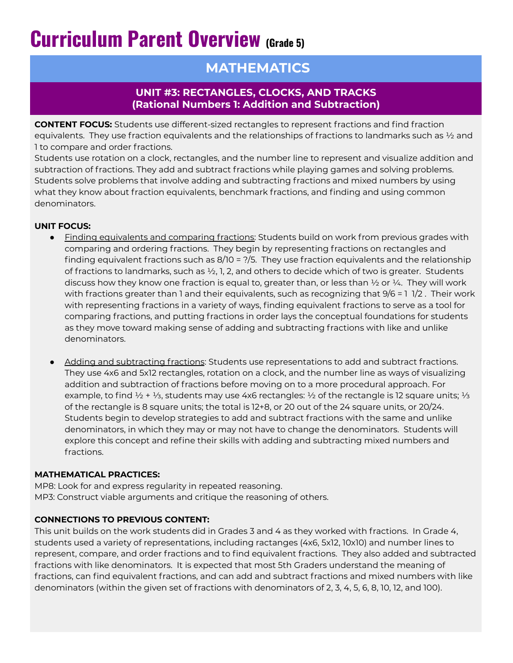# **Curriculum Parent Overview (Grade 5)**

# **MATHEMATICS**

# **UNIT #3: RECTANGLES, CLOCKS, AND TRACKS (Rational Numbers 1: Addition and Subtraction)**

**CONTENT FOCUS:** Students use different-sized rectangles to represent fractions and find fraction equivalents. They use fraction equivalents and the relationships of fractions to landmarks such as  $\frac{1}{2}$  and 1 to compare and order fractions.

Students use rotation on a clock, rectangles, and the number line to represent and visualize addition and subtraction of fractions. They add and subtract fractions while playing games and solving problems. Students solve problems that involve adding and subtracting fractions and mixed numbers by using what they know about fraction equivalents, benchmark fractions, and finding and using common denominators.

### **UNIT FOCUS:**

- Finding equivalents and comparing fractions: Students build on work from previous grades with comparing and ordering fractions. They begin by representing fractions on rectangles and finding equivalent fractions such as 8/10 = ?/5. They use fraction equivalents and the relationship of fractions to landmarks, such as  $\frac{1}{2}$ , 1, 2, and others to decide which of two is greater. Students discuss how they know one fraction is equal to, greater than, or less than  $\frac{1}{2}$  or  $\frac{1}{4}$ . They will work with fractions greater than 1 and their equivalents, such as recognizing that 9/6 = 1 1/2 . Their work with representing fractions in a variety of ways, finding equivalent fractions to serve as a tool for comparing fractions, and putting fractions in order lays the conceptual foundations for students as they move toward making sense of adding and subtracting fractions with like and unlike denominators.
- Adding and subtracting fractions: Students use representations to add and subtract fractions. They use 4x6 and 5x12 rectangles, rotation on a clock, and the number line as ways of visualizing addition and subtraction of fractions before moving on to a more procedural approach. For example, to find ½ + ⅓, students may use 4x6 rectangles: ½ of the rectangle is 12 square units; 1⁄3 of the rectangle is 8 square units; the total is 12+8, or 20 out of the 24 square units, or 20/24. Students begin to develop strategies to add and subtract fractions with the same and unlike denominators, in which they may or may not have to change the denominators. Students will explore this concept and refine their skills with adding and subtracting mixed numbers and fractions.

#### **MATHEMATICAL PRACTICES:**

MP8: Look for and express regularity in repeated reasoning. MP3: Construct viable arguments and critique the reasoning of others.

## **CONNECTIONS TO PREVIOUS CONTENT:**

This unit builds on the work students did in Grades 3 and 4 as they worked with fractions. In Grade 4, students used a variety of representations, including ractanges (4x6, 5x12, 10x10) and number lines to represent, compare, and order fractions and to find equivalent fractions. They also added and subtracted fractions with like denominators. It is expected that most 5th Graders understand the meaning of fractions, can find equivalent fractions, and can add and subtract fractions and mixed numbers with like denominators (within the given set of fractions with denominators of 2, 3, 4, 5, 6, 8, 10, 12, and 100).